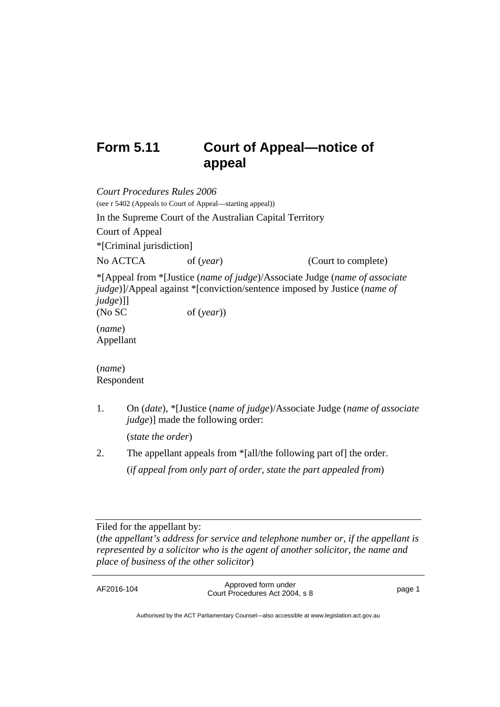# **Form 5.11 Court of Appeal—notice of appeal**

| <b>Court Procedures Rules 2006</b> |                                                           |                                                                                                                                                                |
|------------------------------------|-----------------------------------------------------------|----------------------------------------------------------------------------------------------------------------------------------------------------------------|
|                                    | (see r 5402 (Appeals to Court of Appeal—starting appeal)) |                                                                                                                                                                |
|                                    | In the Supreme Court of the Australian Capital Territory  |                                                                                                                                                                |
| Court of Appeal                    |                                                           |                                                                                                                                                                |
| *[Criminal jurisdiction]           |                                                           |                                                                                                                                                                |
| No ACTCA                           | of $(year)$                                               | (Court to complete)                                                                                                                                            |
| $judge)$ ]<br>(No SC               | of $(year)$                                               | *[Appeal from *[Justice (name of judge)/Associate Judge (name of associate<br><i>judge</i> )]/Appeal against *[conviction/sentence imposed by Justice (name of |
| (name)<br>Appellant                |                                                           |                                                                                                                                                                |
| (name)<br>Respondent               |                                                           |                                                                                                                                                                |
|                                    |                                                           |                                                                                                                                                                |

1. On (*date*), \*[Justice (*name of judge*)/Associate Judge (*name of associate judge*)] made the following order:

(*state the order*)

2. The appellant appeals from \*[all/the following part of] the order. (*if appeal from only part of order, state the part appealed from*)

Filed for the appellant by:

(*the appellant's address for service and telephone number or*, *if the appellant is represented by a solicitor who is the agent of another solicitor, the name and place of business of the other solicitor*)

Authorised by the ACT Parliamentary Counsel—also accessible at www.legislation.act.gov.au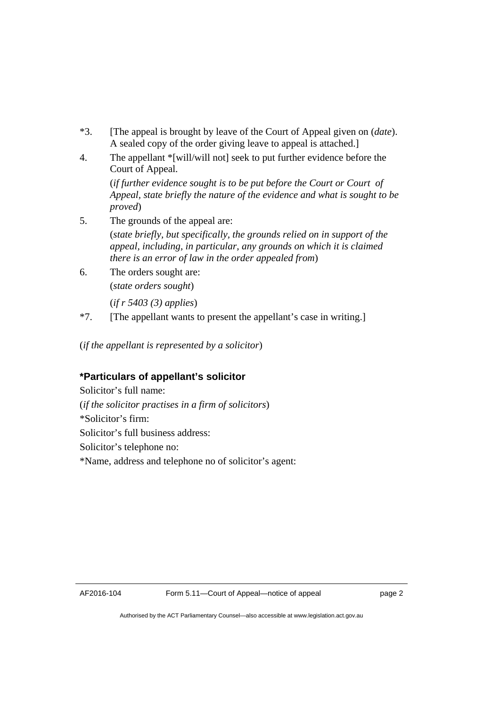- \*3. [The appeal is brought by leave of the Court of Appeal given on (*date*). A sealed copy of the order giving leave to appeal is attached.]
- 4. The appellant \*[will/will not] seek to put further evidence before the Court of Appeal.

(*if further evidence sought is to be put before the Court or Court of Appeal, state briefly the nature of the evidence and what is sought to be proved*)

5. The grounds of the appeal are:

(*state briefly, but specifically, the grounds relied on in support of the appeal, including, in particular, any grounds on which it is claimed there is an error of law in the order appealed from*)

- 6. The orders sought are: (*state orders sought*) (*if r 5403 (3) applies*)
- \*7. [The appellant wants to present the appellant's case in writing.]

(*if the appellant is represented by a solicitor*)

## **\*Particulars of appellant's solicitor**

Solicitor's full name: (*if the solicitor practises in a firm of solicitors*) \*Solicitor's firm: Solicitor's full business address: Solicitor's telephone no: \*Name, address and telephone no of solicitor's agent: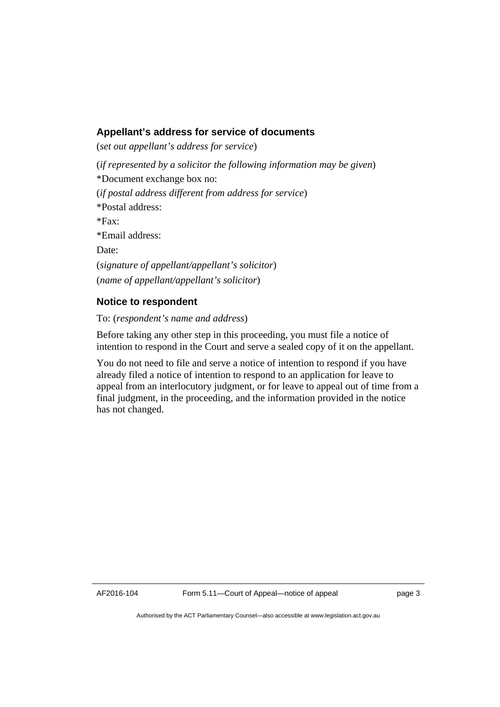### **Appellant's address for service of documents**

(*set out appellant's address for service*)

(*if represented by a solicitor the following information may be given*) \*Document exchange box no: (*if postal address different from address for service*) \*Postal address:  $*Fax$ \*Email address: Date: (*signature of appellant/appellant's solicitor*) (*name of appellant/appellant's solicitor*)

#### **Notice to respondent**

To: (*respondent's name and address*)

Before taking any other step in this proceeding, you must file a notice of intention to respond in the Court and serve a sealed copy of it on the appellant.

You do not need to file and serve a notice of intention to respond if you have already filed a notice of intention to respond to an application for leave to appeal from an interlocutory judgment, or for leave to appeal out of time from a final judgment, in the proceeding, and the information provided in the notice has not changed.

Authorised by the ACT Parliamentary Counsel—also accessible at www.legislation.act.gov.au